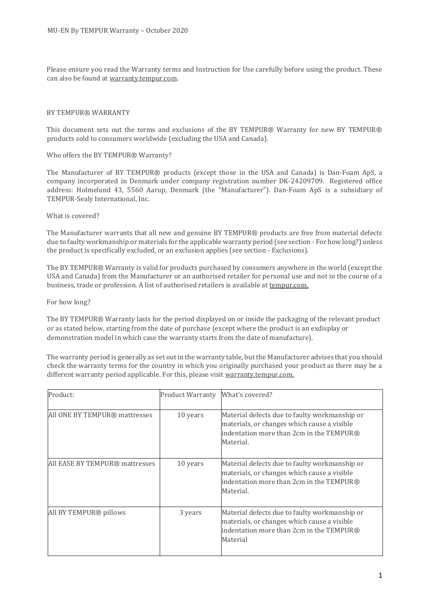Please ensure you read the Warranty terms and Instruction for Use carefully before using the product. These can also be found at warranty.tempur.com.

#### BY TEMPUR® WARRANTY

This document sets out the terms and exclusions of the BY TEMPUR® Warranty for new BY TEMPUR® products sold to consumers worldwide (excluding the USA and Canada).

Who offers the BY TEMPUR® Warranty?

The Manufacturer of BY TEMPUR® products (except those in the USA and Canada) is Dan-Foam ApS, a company incorporated in Denmark under company registration number DK-24209709. Registered office address: Holmelund 43, 5560 Aarup, Denmark (the "Manufacturer"). Dan-Foam ApS is a subsidiary of TEMPUR-Sealy International, Inc.

#### What is covered?

The Manufacturer warrants that all new and genuine BY TEMPUR® products are free from material defects due to faulty workmanship or materials for the applicable warranty period (see section - For how long?) unless the product is specifically excluded, or an exclusion applies (see section - Exclusions).

The BY TEMPUR® Warranty is valid for products purchased by consumers anywhere in the world (except the USA and Canada) from the Manufacturer or an authorised retailer for personal use and not in the course of a business, trade or profession. A list of authorised retailers is available at tempur.com.

For how long?

The BY TEMPUR® Warranty lasts for the period displayed on or inside the packaging of the relevant product or as stated below, starting from the date of purchase (except where the product is an exdisplay or demonstration model in which case the warranty starts from the date of manufacture).

The warranty period is generally as set out in the warranty table, but the Manufacturer advises that you should check the warranty terms for the country in which you originally purchased your product as there may be a different warranty period applicable. For this, please visit warranty.tempur.com.

| Product:                       | <b>Product Warranty</b> | What's covered?                                                                                                                                       |
|--------------------------------|-------------------------|-------------------------------------------------------------------------------------------------------------------------------------------------------|
| All ONE BY TEMPUR® mattresses  | 10 years                | Material defects due to faulty workmanship or<br>materials, or changes which cause a visible<br>indentation more than 2cm in the TEMPUR®<br>Material. |
| All EASE BY TEMPUR® mattresses | 10 years                | Material defects due to faulty workmanship or<br>materials, or changes which cause a visible<br>indentation more than 2cm in the TEMPUR®<br>Material. |
| All BY TEMPUR® pillows         | 3 years                 | Material defects due to faulty workmanship or<br>materials, or changes which cause a visible<br>indentation more than 2cm in the TEMPUR®<br>Material  |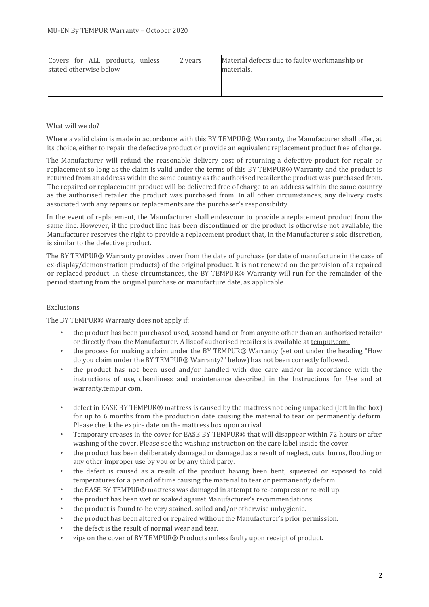| Covers for ALL products, unless<br>stated otherwise below | 2 years | Material defects due to faulty workmanship or<br>materials. |
|-----------------------------------------------------------|---------|-------------------------------------------------------------|
|-----------------------------------------------------------|---------|-------------------------------------------------------------|

# What will we do?

Where a valid claim is made in accordance with this BY TEMPUR® Warranty, the Manufacturer shall offer, at its choice, either to repair the defective product or provide an equivalent replacement product free of charge.

The Manufacturer will refund the reasonable delivery cost of returning a defective product for repair or replacement so long as the claim is valid under the terms of this BY TEMPUR® Warranty and the product is returned from an address within the same country as the authorised retailer the product was purchased from. The repaired or replacement product will be delivered free of charge to an address within the same country as the authorised retailer the product was purchased from. In all other circumstances, any delivery costs associated with any repairs or replacements are the purchaser's responsibility.

In the event of replacement, the Manufacturer shall endeavour to provide a replacement product from the same line. However, if the product line has been discontinued or the product is otherwise not available, the Manufacturer reserves the right to provide a replacement product that, in the Manufacturer's sole discretion, is similar to the defective product.

The BY TEMPUR® Warranty provides cover from the date of purchase (or date of manufacture in the case of ex-display/demonstration products) of the original product. It is not renewed on the provision of a repaired or replaced product. In these circumstances, the BY TEMPUR® Warranty will run for the remainder of the period starting from the original purchase or manufacture date, as applicable.

## Exclusions

The BY TEMPUR® Warranty does not apply if:

- the product has been purchased used, second hand or from anyone other than an authorised retailer or directly from the Manufacturer. A list of authorised retailers is available at tempur.com.
- the process for making a claim under the BY TEMPUR® Warranty (set out under the heading "How do you claim under the BY TEMPUR® Warranty?" below) has not been correctly followed.
- the product has not been used and/or handled with due care and/or in accordance with the instructions of use, cleanliness and maintenance described in the Instructions for Use and at warranty.tempur.com.
- defect in EASE BY TEMPUR® mattress is caused by the mattress not being unpacked (left in the box) for up to 6 months from the production date causing the material to tear or permanently deform. Please check the expire date on the mattress box upon arrival.
- Temporary creases in the cover for EASE BY TEMPUR® that will disappear within 72 hours or after washing of the cover. Please see the washing instruction on the care label inside the cover.
- the product has been deliberately damaged or damaged as a result of neglect, cuts, burns, flooding or any other improper use by you or by any third party.
- the defect is caused as a result of the product having been bent, squeezed or exposed to cold temperatures for a period of time causing the material to tear or permanently deform.
- the EASE BY TEMPUR® mattress was damaged in attempt to re-compress or re-roll up.
- the product has been wet or soaked against Manufacturer's recommendations.
- the product is found to be very stained, soiled and/or otherwise unhygienic.
- the product has been altered or repaired without the Manufacturer's prior permission.
- the defect is the result of normal wear and tear.
- zips on the cover of BY TEMPUR® Products unless faulty upon receipt of product.